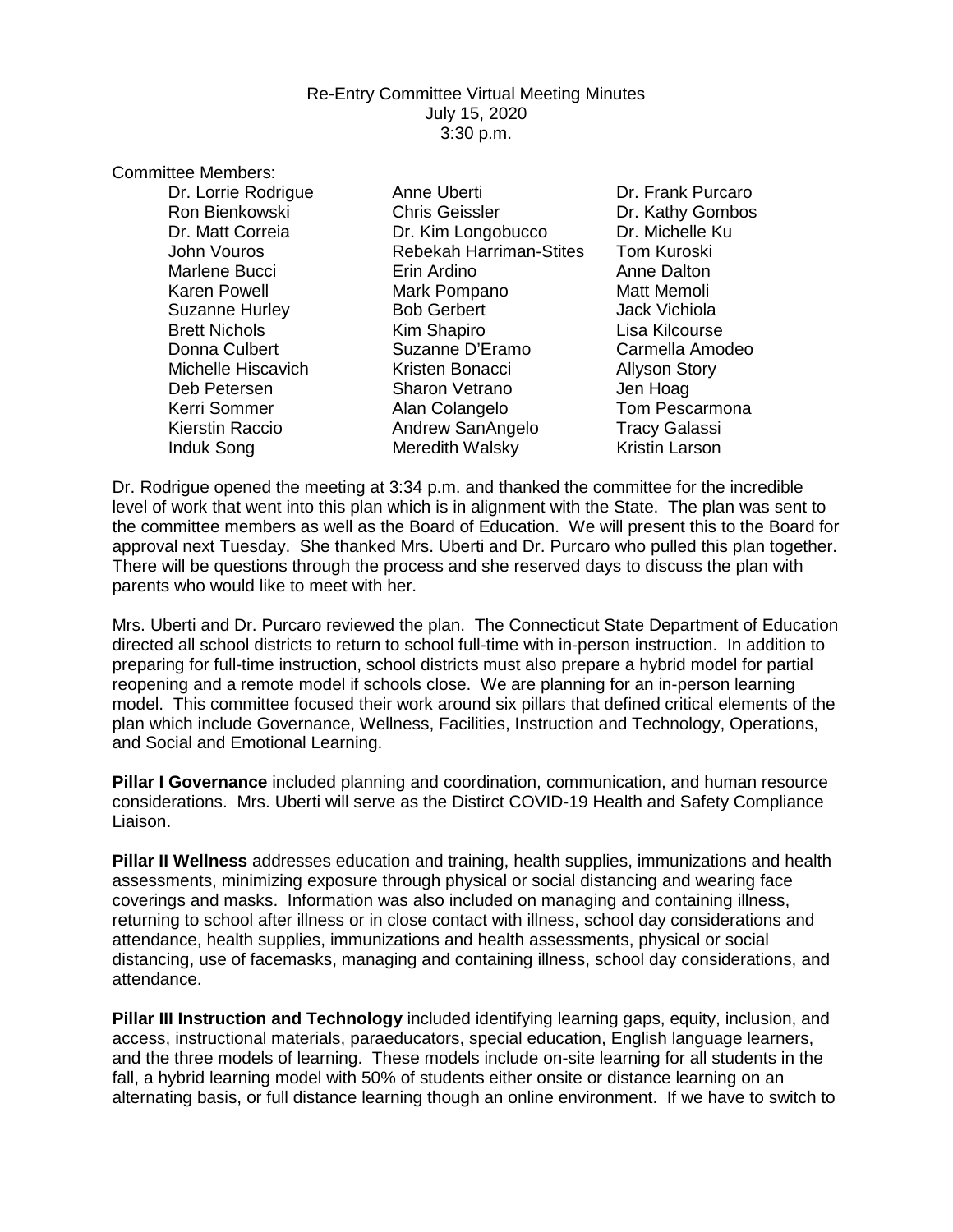## Re-Entry Committee Virtual Meeting Minutes July 15, 2020 3:30 p.m.

Committee Members:

Dr. Lorrie Rodrigue **Anne Uberti Communist Constructs** Dr. Frank Purcaro Ron Bienkowski Chris Geissler Dr. Kathy Gombos Dr. Kim Longobucco Dr. Michelle Ku John Vouros Rebekah Harriman-Stites Tom Kuroski Marlene Bucci Erin Ardino Anne Dalton Karen Powell **Mark Pompano** Matt Memoli Suzanne Hurley Bob Gerbert Jack Vichiola Brett Nichols **Kim Shapiro** Cisa Kilcourse Donna Culbert Suzanne D'Eramo Carmella Amodeo Michelle Hiscavich **Kristen Bonacci** Allyson Story Deb Petersen Sharon Vetrano Jen Hoag Kerri Sommer Alan Colangelo Tom Pescarmona Kierstin Raccio **Andrew SanAngelo** Tracy Galassi Induk Song **Meredith Walsky** Kristin Larson

Dr. Rodrigue opened the meeting at 3:34 p.m. and thanked the committee for the incredible level of work that went into this plan which is in alignment with the State. The plan was sent to the committee members as well as the Board of Education. We will present this to the Board for approval next Tuesday. She thanked Mrs. Uberti and Dr. Purcaro who pulled this plan together. There will be questions through the process and she reserved days to discuss the plan with parents who would like to meet with her.

Mrs. Uberti and Dr. Purcaro reviewed the plan. The Connecticut State Department of Education directed all school districts to return to school full-time with in-person instruction. In addition to preparing for full-time instruction, school districts must also prepare a hybrid model for partial reopening and a remote model if schools close. We are planning for an in-person learning model. This committee focused their work around six pillars that defined critical elements of the plan which include Governance, Wellness, Facilities, Instruction and Technology, Operations, and Social and Emotional Learning.

**Pillar I Governance** included planning and coordination, communication, and human resource considerations. Mrs. Uberti will serve as the Distirct COVID-19 Health and Safety Compliance Liaison.

**Pillar II Wellness** addresses education and training, health supplies, immunizations and health assessments, minimizing exposure through physical or social distancing and wearing face coverings and masks. Information was also included on managing and containing illness, returning to school after illness or in close contact with illness, school day considerations and attendance, health supplies, immunizations and health assessments, physical or social distancing, use of facemasks, managing and containing illness, school day considerations, and attendance.

**Pillar III Instruction and Technology** included identifying learning gaps, equity, inclusion, and access, instructional materials, paraeducators, special education, English language learners, and the three models of learning. These models include on-site learning for all students in the fall, a hybrid learning model with 50% of students either onsite or distance learning on an alternating basis, or full distance learning though an online environment. If we have to switch to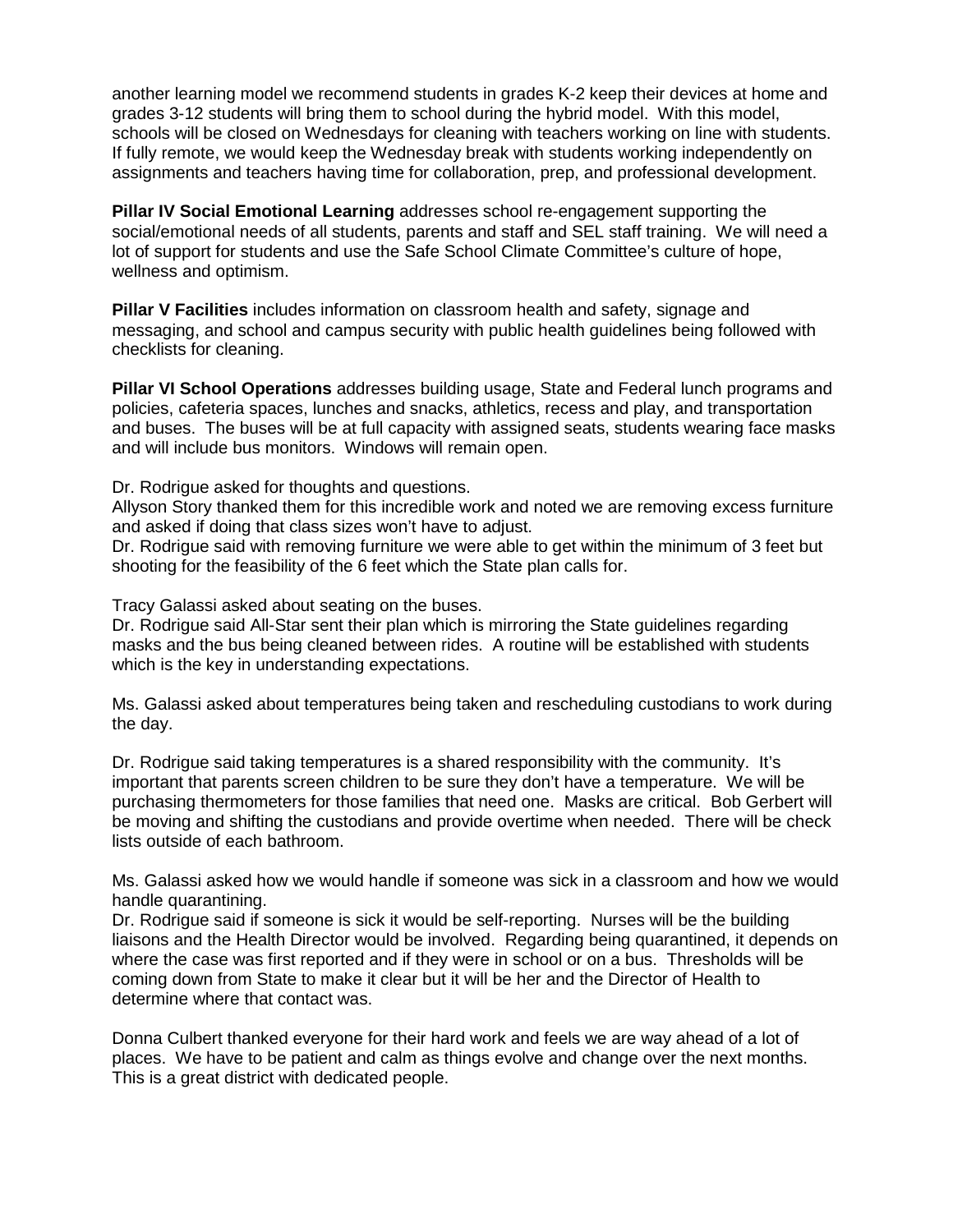another learning model we recommend students in grades K-2 keep their devices at home and grades 3-12 students will bring them to school during the hybrid model. With this model, schools will be closed on Wednesdays for cleaning with teachers working on line with students. If fully remote, we would keep the Wednesday break with students working independently on assignments and teachers having time for collaboration, prep, and professional development.

**Pillar IV Social Emotional Learning** addresses school re-engagement supporting the social/emotional needs of all students, parents and staff and SEL staff training. We will need a lot of support for students and use the Safe School Climate Committee's culture of hope, wellness and optimism.

**Pillar V Facilities** includes information on classroom health and safety, signage and messaging, and school and campus security with public health guidelines being followed with checklists for cleaning.

**Pillar VI School Operations** addresses building usage, State and Federal lunch programs and policies, cafeteria spaces, lunches and snacks, athletics, recess and play, and transportation and buses. The buses will be at full capacity with assigned seats, students wearing face masks and will include bus monitors. Windows will remain open.

Dr. Rodrigue asked for thoughts and questions.

Allyson Story thanked them for this incredible work and noted we are removing excess furniture and asked if doing that class sizes won't have to adjust.

Dr. Rodrigue said with removing furniture we were able to get within the minimum of 3 feet but shooting for the feasibility of the 6 feet which the State plan calls for.

Tracy Galassi asked about seating on the buses.

Dr. Rodrigue said All-Star sent their plan which is mirroring the State guidelines regarding masks and the bus being cleaned between rides. A routine will be established with students which is the key in understanding expectations.

Ms. Galassi asked about temperatures being taken and rescheduling custodians to work during the day.

Dr. Rodrigue said taking temperatures is a shared responsibility with the community. It's important that parents screen children to be sure they don't have a temperature. We will be purchasing thermometers for those families that need one. Masks are critical. Bob Gerbert will be moving and shifting the custodians and provide overtime when needed. There will be check lists outside of each bathroom.

Ms. Galassi asked how we would handle if someone was sick in a classroom and how we would handle quarantining.

Dr. Rodrigue said if someone is sick it would be self-reporting. Nurses will be the building liaisons and the Health Director would be involved. Regarding being quarantined, it depends on where the case was first reported and if they were in school or on a bus. Thresholds will be coming down from State to make it clear but it will be her and the Director of Health to determine where that contact was.

Donna Culbert thanked everyone for their hard work and feels we are way ahead of a lot of places. We have to be patient and calm as things evolve and change over the next months. This is a great district with dedicated people.